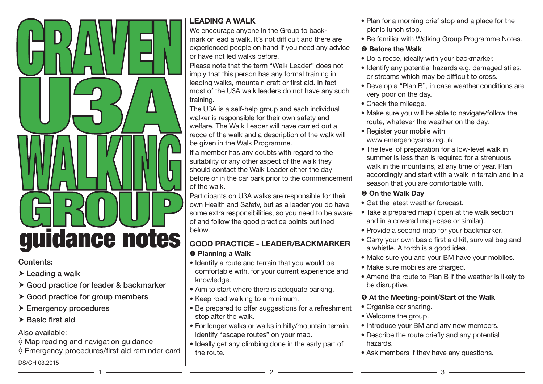

#### Contents:

- > Leading a walk
- ▶ Good practice for leader & backmarker
- $\triangleright$  Good practice for group members
- ▶ Emergency procedures
- $\blacktriangleright$  Basic first aid

Also available:

- ◊ Map reading and navigation guidance
- ◊ Emergency procedures/first aid reminder card

#### DS/CH 03.2015

## LEADING A WALK

We encourage anyone in the Group to backmark or lead a walk. It's not difficult and there are experienced people on hand if you need any advice or have not led walks before.

Please note that the term "Walk Leader" does not imply that this person has any formal training in leading walks, mountain craft or first aid. In fact most of the U3A walk leaders do not have any such training.

The U3A is a self-help group and each individual walker is responsible for their own safety and welfare. The Walk Leader will have carried out a recce of the walk and a description of the walk will be given in the Walk Programme.

If a member has any doubts with regard to the suitability or any other aspect of the walk they should contact the Walk Leader either the day before or in the car park prior to the commencement of the walk.

Participants on U3A walks are responsible for their own Health and Safety, but as a leader you do have some extra responsibilities, so you need to be aware of and follow the good practice points outlined below.

## GOOD PRACTICE - LEADER/BACKMARKER **O** Planning a Walk

- Identify a route and terrain that you would be comfortable with, for your current experience and knowledge.
- Aim to start where there is adequate parking.
- Keep road walking to a minimum.
- Be prepared to offer suggestions for a refreshment stop after the walk.
- For longer walks or walks in hilly/mountain terrain, identify "escape routes" on your map.
- Ideally get any climbing done in the early part of the route.
- Plan for a morning brief stop and a place for the picnic lunch stop.
- Be familiar with Walking Group Programme Notes.

## **2** Before the Walk

- Do a recce, ideally with your backmarker.
- Identify any potential hazards e.g. damaged stiles, or streams which may be difficult to cross.
- Develop a "Plan B", in case weather conditions are very poor on the day.
- Check the mileage.
- Make sure you will be able to navigate/follow the route, whatever the weather on the day.
- Register your mobile with www.emergencysms.org.uk
- The level of preparation for a low-level walk in summer is less than is required for a strenuous walk in the mountains, at any time of year. Plan accordingly and start with a walk in terrain and in a season that you are comfortable with.

# **Oon the Walk Day**

- Get the latest weather forecast.
- Take a prepared map ( open at the walk section and in a covered map-case or similar).
- Provide a second map for your backmarker.
- Carry your own basic first aid kit, survival bag and a whistle. A torch is a good idea.
- Make sure you and your BM have your mobiles.
- Make sure mobiles are charged.
- Amend the route to Plan B if the weather is likely to be disruptive.

## $\Phi$  At the Meeting-point/Start of the Walk

- Organise car sharing.
- Welcome the group.
- Introduce your BM and any new members.
- Describe the route briefly and any potential hazards.
- Ask members if they have any questions.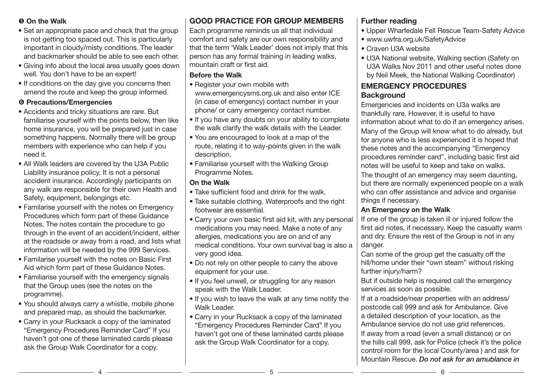#### **On the Walk**

- Set an appropriate pace and check that the group is not getting too spaced out. This is particularly important in cloudy/misty conditions. The leader and backmarker should be able to see each other.
- Giving info about the local area usually goes down well. You don't have to be an expert!
- If conditions on the day give you concerns then amend the route and keep the group informed.

#### **O** Precautions/Emergencies

- Accidents and tricky situations are rare. But familiarise yourself with the points below, then like home insurance, you will be prepared just in case something happens. Normally there will be group members with experience who can help if you need it.
- All Walk leaders are covered by the U3A Public Liability insurance policy. It is not a personal accident insurance. Accordingly participants on any walk are responsible for their own Health and Safety, equipment, belongings etc.
- Familarise yourself with the notes on Emergency Procedures which form part of these Guidance Notes. The notes contain the procedure to go through in the event of an accident/incident, either at the roadside or away from a road, and lists what information will be needed by the 999 Services.
- Familarise yourself with the notes on Basic First Aid which form part of these Guidance Notes.
- Familiarise yourself with the emergency signals that the Group uses (see the notes on the programme).
- You should always carry a whistle, mobile phone and prepared map, as should the backmarker.
- Carry in your Rucksack a copy of the laminated "Emergency Procedures Reminder Card" If you haven't got one of these laminated cards please ask the Group Walk Coordinator for a copy.

# GOOD PRACTICE FOR GROUP MEMBERS

Each programme reminds us all that individual comfort and safety are our own responsibility and that the term 'Walk Leader' does not imply that this person has any formal training in leading walks, mountain craft or first aid.

#### Before the Walk

- Register your own mobile with www.emergencysms.org.uk and also enter ICE (in case of emergency) contact number in your phone/ or carry emergency contact number.
- If you have any doubts on your ability to complete the walk clarify the walk details with the Leader.
- You are encouraged to look at a map of the route, relating it to way-points given in the walk description.
- Familiarise yourself with the Walking Group Programme Notes.

### On the Walk

- Take sufficient food and drink for the walk.
- Take suitable clothing. Waterproofs and the right footwear are essential.
- Carry your own basic first aid kit, with any personal medications you may need. Make a note of any allergies, medications you are on and of any medical conditions. Your own survival bag is also a very good idea.
- Do not rely on other people to carry the above equipment for your use.
- If you feel unwell, or struggling for any reason speak with the Walk Leader.
- If you wish to leave the walk at any time notify the Walk Leader.
- Carry in your Rucksack a copy of the laminated "Emergency Procedures Reminder Card" If you haven't got one of these laminated cards please ask the Group Walk Coordinator for a copy.

## Further reading

- Upper Wharfedale Fell Rescue Team-Safety Advice
- www.uwfra.org.uk/SafetyAdvice
- Craven U3A website
- U3A National website, Walking section (Safety on U3A Walks Nov 2011 and other useful notes done by Neil Meek, the National Walking Coordinator)

### EMERGENCY PROCEDURES **Background**

Emergencies and incidents on U3a walks are thankfully rare. However, it is useful to have information about what to do if an emergency arises. Many of the Group will know what to do already, but for anyone who is less experienced it is hoped that these notes and the accompanying "Emergency procedures reminder card", including basic first aid notes will be useful to keep and take on walks.

The thought of an emergency may seem daunting, but there are normally experienced people on a walk who can offer assistance and advice and organise things if necessary.

#### An Emergency on the Walk

If one of the group is taken ill or injured follow the first aid notes, if necessary. Keep the casualty warm and dry. Ensure the rest of the Group is not in any danger.

Can some of the group get the casualty off the hill/home under their "own steam" without risking further injury/harm?

But if outside help is required call the emergency services as soon as possible.

If at a roadside/near properties with an address/ postcode call 999 and ask for Ambulance. Give a detailed description of your location, as the Ambulance service do not use grid references. If away from a road (even a small distance) or on the hills call 999, ask for Police (check it's the police control room for the local County/area ) and ask for Mountain Rescue. *Do not ask for an amublance in*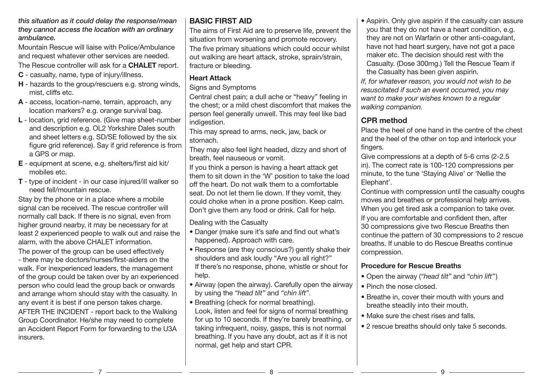#### *this situation as it could delay the response/mean they cannot access the location with an ordinary ambulance.*

Mountain Rescue will liaise with Police/Ambulance and request whatever other services are needed.

The Rescue controller will ask for a **CHALET** report.

- C casualty, name, type of injury/illness.
- H hazards to the group/rescuers e.g. strong winds, mist, cliffs etc.
- A access, location-name, terrain, approach, any location markers? e.g. orange survival bag.
- L location, grid reference. (Give map sheet-number and description e.g. OL2 Yorkshire Dales south and sheet letters e.g. SD/SE followed by the six figure grid reference). Say if grid reference is from a GPS or map.
- E equipment at scene, e.g. shelters/first aid kit/ mobiles etc.
- T type of incident in our case injured/ill walker so need fell/mountain rescue.

Stay by the phone or in a place where a mobile signal can be received. The rescue controller will normally call back. If there is no signal, even from higher ground nearby, it may be necessary for at least 2 experienced people to walk out and raise the alarm, with the above CHALET information.

The power of the group can be used effectively - there may be doctors/nurses/first-aiders on the walk. For inexperienced leaders, the management of the group could be taken over by an experienced person who could lead the group back or onwards and arrange whom should stay with the casualty. In any event it is best if one person takes charge. AFTER THE INCIDENT - report back to the Walking Group Coordinator. He/she may need to complete an Accident Report Form for forwarding to the U3A insurers.

## BASIC FIRST AID

The aims of First Aid are to preserve life, prevent the situation from worsening and promote recovery.

The five primary situations which could occur whilst out walking are heart attack, stroke, sprain/strain, fracture or bleeding.

### Heart Attack

Signs and Symptoms

Central chest pain; a dull ache or "heavy" feeling in the chest; or a mild chest discomfort that makes the person feel generally unwell. This may feel like bad indigestion.

This may spread to arms, neck, jaw, back or stomach.

They may also feel light headed, dizzy and short of breath, feel nauseous or vomit.

If you think a person is having a heart attack get them to sit down in the 'W' position to take the load off the heart. Do not walk them to a comfortable seat. Do not let them lie down. If they vomit, they could choke when in a prone position. Keep calm. Don't give them any food or drink. Call for help.

Dealing with the Casualty

- Danger (make sure it's safe and find out what's happened). Approach with care.
- Response (are they conscious?) gently shake their shoulders and ask loudly "Are you all right?" If there's no response, phone, whistle or shout for help.
- Airway (open the airway). Carefully open the airway by using the *"head tilt"* and *"chin lift"*.
- Breathing (check for normal breathing). Look, listen and feel for signs of normal breathing for up to 10 seconds. If they're barely breathing, or taking infrequent, noisy, gasps, this is not normal breathing. If you have any doubt, act as if it is not normal, get help and start CPR.

• Aspirin. Only give aspirin if the casualty can assure you that they do not have a heart condition, e.g. they are not on Warfarin or other anti-coagulant, have not had heart surgery, have not got a pace maker etc. The decision should rest with the Casualty. (Dose 300mg.) Tell the Rescue Team if the Casualty has been given aspirin.

*If, for whatever reason, you would not wish to be resuscitated if such an event occurred, you may want to make your wishes known to a regular walking companion.*

# CPR method

Place the heel of one hand in the centre of the chest and the heel of the other on top and interlock your fingers.

Give compressions at a depth of 5-6 cms (2-2.5 in). The correct rate is 100-120 compressions per minute, to the tune 'Staying Alive' or 'Nellie the Elephant'.

Continue with compression until the casualty coughs moves and breathes or professional help arrives. When you get tired ask a companion to take over. If you are comfortable and confident then, after 30 compressions give two Rescue Breaths then continue the pattern of 30 compressions to 2 rescue breaths. If unable to do Rescue Breaths continue compression.

### Procedure for Rescue Breaths

- Open the airway (*"head tilt"* and *"chin lift"*)
- Pinch the nose closed.
- Breathe in, cover their mouth with yours and breathe steadily into their mouth.
- Make sure the chest rises and falls.
- 2 rescue breaths should only take 5 seconds.

7 8 9